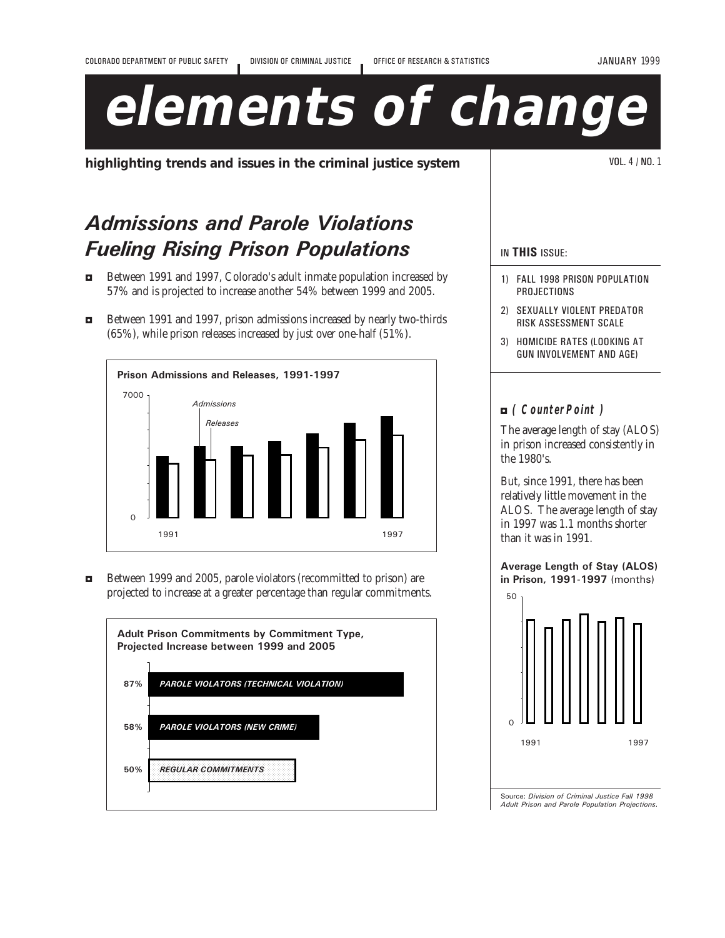JANUARY 1999

# **elements of change**

**highlighting trends and issues in the criminal justice system** VOL. 4 / NO. 1

# Admissions and Parole Violations Fueling Rising Prison Populations

- $\blacksquare$  Between 1991 and 1997, Colorado's adult inmate population increased by 57% and is projected to increase another 54% between 1999 and 2005.
- 3 Between 1991 and 1997, prison admissions increased by nearly two-thirds (65%), while prison releases increased by just over one-half (51%).



3 Between 1999 and 2005, parole violators (recommitted to prison) are projected to increase at a greater percentage than regular commitments.



## IN THIS ISSUE:

- 1) FALL 1998 PRISON POPULATION PROJECTIONS
- 2) SEXUALLY VIOLENT PREDATOR RISK ASSESSMENT SCALE
- 3) HOMICIDE RATES (LOOKING AT GUN INVOLVEMENT AND AGE)

## 3 **( CounterPoint )**

The average length of stay (ALOS) in prison increased consistently in the 1980's.

But, since 1991, there has been relatively little movement in the ALOS. The average length of stay in 1997 was 1.1 months shorter than it was in 1991.

## Average Length of Stay (ALOS) in Prison, 1991-1997 (months)



Source: Division of Criminal Justice Fall 1998 Adult Prison and Parole Population Projections.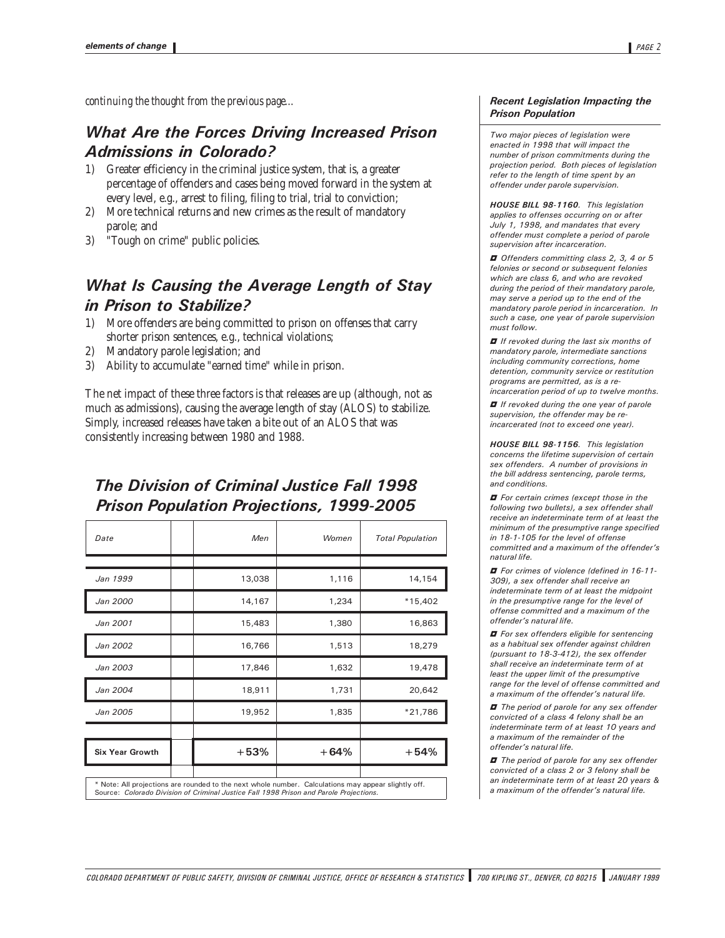*continuing the thought from the previous page...*

## What Are the Forces Driving Increased Prison Admissions in Colorado?

- 1) Greater efficiency in the criminal justice system, that is, a greater percentage of offenders and cases being moved forward in the system at every level, e.g., arrest to filing, filing to trial, trial to conviction;
- 2) More technical returns and new crimes as the result of mandatory parole; and
- 3) "Tough on crime" public policies.

## What Is Causing the Average Length of Stay in Prison to Stabilize?

- 1) More offenders are being committed to prison on offenses that carry shorter prison sentences, e.g., technical violations;
- 2) Mandatory parole legislation; and
- 3) Ability to accumulate "earned time" while in prison.

The net impact of these three factors is that releases are up (although, not as much as admissions), causing the average length of stay (ALOS) to stabilize. Simply, increased releases have taken a bite out of an ALOS that was consistently increasing between 1980 and 1988.

# The Division of Criminal Justice Fall 1998 Prison Population Projections, 1999-2005

| Date                                                                                                                                                                                          | Men    | Women  | <b>Total Population</b> |
|-----------------------------------------------------------------------------------------------------------------------------------------------------------------------------------------------|--------|--------|-------------------------|
|                                                                                                                                                                                               |        |        |                         |
| Jan 1999                                                                                                                                                                                      | 13,038 | 1,116  | 14,154                  |
| Jan 2000                                                                                                                                                                                      | 14,167 | 1,234  | $*15,402$               |
| Jan 2001                                                                                                                                                                                      | 15,483 | 1,380  | 16,863                  |
| Jan 2002                                                                                                                                                                                      | 16,766 | 1,513  | 18,279                  |
| Jan 2003                                                                                                                                                                                      | 17,846 | 1,632  | 19,478                  |
| Jan 2004                                                                                                                                                                                      | 18,911 | 1,731  | 20,642                  |
| Jan 2005                                                                                                                                                                                      | 19,952 | 1,835  | *21,786                 |
|                                                                                                                                                                                               |        |        |                         |
| <b>Six Year Growth</b>                                                                                                                                                                        | $+53%$ | $+64%$ | $+54%$                  |
| * Note: All projections are rounded to the next whole number. Calculations may appear slightly off.<br>Source: Colorado Division of Criminal Justice Fall 1998 Prison and Parole Projections. |        |        |                         |

#### Recent Legislation Impacting the Prison Population

Two major pieces of legislation were enacted in 1998 that will impact the number of prison commitments during the projection period. Both pieces of legislation refer to the length of time spent by an offender under parole supervision.

HOUSE BILL 98-1160. This legislation applies to offenses occurring on or after July 1, 1998, and mandates that every offender must complete a period of parole supervision after incarceration.

 $\blacksquare$  Offenders committing class 2, 3, 4 or 5 felonies or second or subsequent felonies which are class 6, and who are revoked during the period of their mandatory parole, may serve a period up to the end of the mandatory parole period in incarceration. In such a case, one year of parole supervision must follow.

 $\blacksquare$  If revoked during the last six months of mandatory parole, intermediate sanctions including community corrections, home detention, community service or restitution programs are permitted, as is a reincarceration period of up to twelve months.

 $\blacksquare$  If revoked during the one year of parole

supervision, the offender may be reincarcerated (not to exceed one year).

HOUSE BILL 98-1156. This legislation concerns the lifetime supervision of certain sex offenders. A number of provisions in the bill address sentencing, parole terms, and conditions.

 $\blacksquare$  For certain crimes (except those in the following two bullets), a sex offender shall receive an indeterminate term of at least the minimum of the presumptive range specified in 18-1-105 for the level of offense committed and a maximum of the offender's natural life.

 $\blacksquare$  For crimes of violence (defined in 16-11-309), a sex offender shall receive an indeterminate term of at least the midpoint in the presumptive range for the level of offense committed and a maximum of the offender's natural life.

 $\blacksquare$  For sex offenders eligible for sentencing as a habitual sex offender against children (pursuant to 18-3-412), the sex offender shall receive an indeterminate term of at least the upper limit of the presumptive range for the level of offense committed and a maximum of the offender's natural life.

 $\blacksquare$  The period of parole for any sex offender convicted of a class 4 felony shall be an indeterminate term of at least 10 years and a maximum of the remainder of the offender's natural life.

 $\blacksquare$  The period of parole for any sex offender convicted of a class 2 or 3 felony shall be an indeterminate term of at least 20 years & a maximum of the offender's natural life.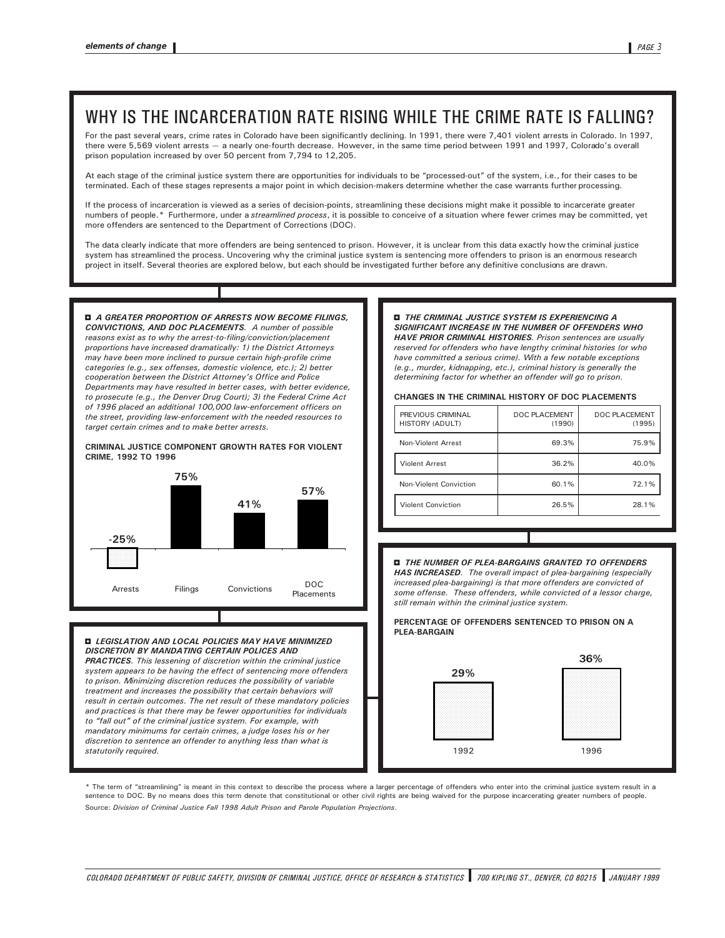# WHY IS THE INCARCERATION RATE RISING WHILE THE CRIME RATE IS FALLING?

For the past several years, crime rates in Colorado have been significantly declining. In 1991, there were 7,401 violent arrests in Colorado. In 1997, there were 5,569 violent arrests - a nearly one-fourth decrease. However, in the same time period between 1991 and 1997, Colorado's overall prison population increased by over 50 percent from 7,794 to 12,205.

At each stage of the criminal justice system there are opportunities for individuals to be "processed-out" of the system, i.e., for their cases to be terminated. Each of these stages represents a major point in which decision-makers determine whether the case warrants further processing.

If the process of incarceration is viewed as a series of decision-points, streamlining these decisions might make it possible to incarcerate greater numbers of people.\* Furthermore, under a streamlined process, it is possible to conceive of a situation where fewer crimes may be committed, yet more offenders are sentenced to the Department of Corrections (DOC).

The data clearly indicate that more offenders are being sentenced to prison. However, it is unclear from this data exactly how the criminal justice system has streamlined the process. Uncovering why the criminal justice system is sentencing more offenders to prison is an enormous research project in itself. Several theories are explored below, but each should be investigated further before any definitive conclusions are drawn.

**E** A GREATER PROPORTION OF ARRESTS NOW BECOME FILINGS, CONVICTIONS, AND DOC PLACEMENTS. A number of possible reasons exist as to why the arrest-to-filing/conviction/placement proportions have increased dramatically: 1) the District Attorneys may have been more inclined to pursue certain high-profile crime categories (e.g., sex offenses, domestic violence, etc.); 2) better cooperation between the District Attorney's Office and Police Departments may have resulted in better cases, with better evidence, to prosecute (e.g., the Denver Drug Court); 3) the Federal Crime Act of 1996 placed an additional 100,000 law-enforcement officers on the street, providing law-enforcement with the needed resources to target certain crimes and to make better arrests.

#### CRIMINAL JUSTICE COMPONENT GROWTH RATES FOR VIOLENT CRIME, 1992 TO 1996



#### **E LEGISLATION AND LOCAL POLICIES MAY HAVE MINIMIZED** DISCRETION BY MANDATING CERTAIN POLICES AND

PRACTICES. This lessening of discretion within the criminal justice system appears to be having the effect of sentencing more offenders to prison. Minimizing discretion reduces the possibility of variable treatment and increases the possibility that certain behaviors will result in certain outcomes. The net result of these mandatory policies and practices is that there may be fewer opportunities for individuals to "fall out" of the criminal justice system. For example, with mandatory minimums for certain crimes, a judge loses his or her discretion to sentence an offender to anything less than what is statutorily required.

#### **D** THE CRIMINAL JUSTICE SYSTEM IS EXPERIENCING A SIGNIFICANT INCREASE IN THE NUMBER OF OFFENDERS WHO HAVE PRIOR CRIMINAL HISTORIES. Prison sentences are usually reserved for offenders who have lengthy criminal histories (or who have committed a serious crime). With a few notable exceptions (e.g., murder, kidnapping, etc.), criminal history is generally the determining factor for whether an offender will go to prison.

#### CHANGES IN THE CRIMINAL HISTORY OF DOC PLACEMENTS

| PREVIOUS CRIMINAL<br>HISTORY (ADULT) | DOC PLACEMENT<br>(1990) | DOC PLACEMENT<br>(1995) |
|--------------------------------------|-------------------------|-------------------------|
| Non-Violent Arrest                   | 69.3%                   | 75.9%                   |
| <b>Violent Arrest</b>                | 36.2%                   | 40.0%                   |
| Non-Violent Conviction               | 60.1%                   | 72.1%                   |
| <b>Violent Conviction</b>            | 26.5%                   | 28.1%                   |

#### 3 THE NUMBER OF PLEA-BARGAINS GRANTED TO OFFENDERS

HAS INCREASED. The overall impact of plea-bargaining (especially increased plea-bargaining) is that more offenders are convicted of some offense. These offenders, while convicted of a lessor charge, still remain within the criminal justice system.

#### PERCENTAGE OF OFFENDERS SENTENCED TO PRISON ON A PLEA-BARGAIN



\* The term of "streamlining" is meant in this context to describe the process where a larger percentage of offenders who enter into the criminal justice system result in a sentence to DOC. By no means does this term denote that constitutional or other civil rights are being waived for the purpose incarcerating greater numbers of people. Source: Division of Criminal Justice Fall 1998 Adult Prison and Parole Population Projections.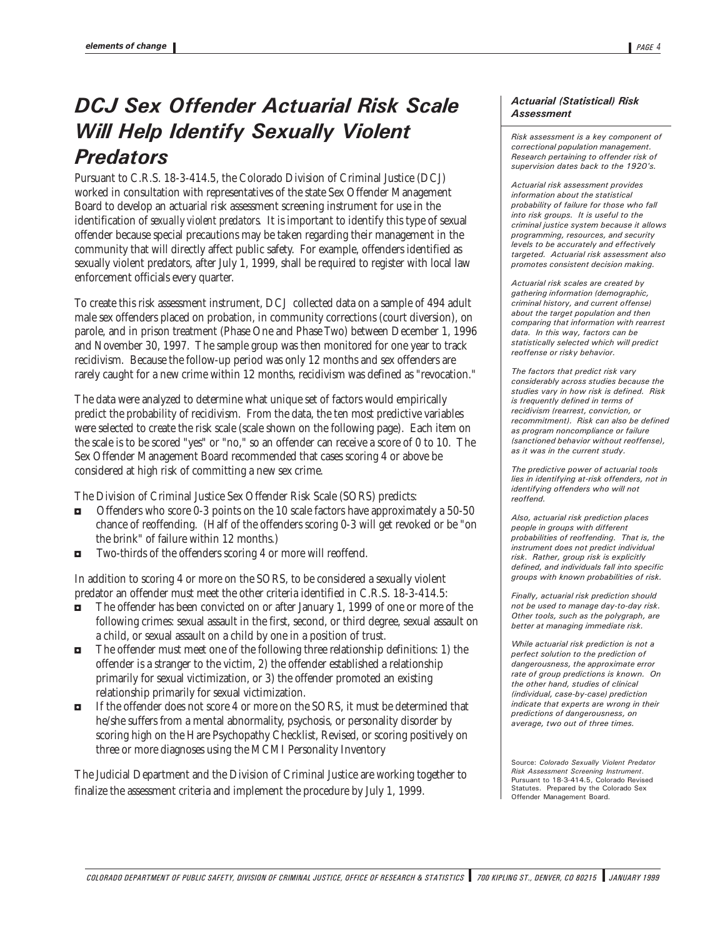# DCJ Sex Offender Actuarial Risk Scale Will Help Identify Sexually Violent **Predators**

Pursuant to C.R.S. 18-3-414.5, the Colorado Division of Criminal Justice (DCJ) worked in consultation with representatives of the state Sex Offender Management Board to develop an actuarial risk assessment screening instrument for use in the identification of *sexually violent predators*. It is important to identify this type of sexual offender because special precautions may be taken regarding their management in the community that will directly affect public safety. For example, offenders identified as sexually violent predators, after July 1, 1999, shall be required to register with local law enforcement officials every quarter.

To create this risk assessment instrument, DCJ collected data on a sample of 494 adult male sex offenders placed on probation, in community corrections (court diversion), on parole, and in prison treatment (Phase One and Phase Two) between December 1, 1996 and November 30, 1997. The sample group was then monitored for one year to track recidivism. Because the follow-up period was only 12 months and sex offenders are rarely caught for a new crime within 12 months, recidivism was defined as "revocation."

The data were analyzed to determine what unique set of factors would empirically predict the probability of recidivism. From the data, the ten most predictive variables were selected to create the risk scale (scale shown on the following page). Each item on the scale is to be scored "yes" or "no," so an offender can receive a score of 0 to 10. The Sex Offender Management Board recommended that cases scoring 4 or above be considered at high risk of committing a new sex crime.

The Division of Criminal Justice Sex Offender Risk Scale (SORS) predicts:

- 3 Offenders who score 0-3 points on the 10 scale factors have approximately a 50-50 chance of reoffending. (Half of the offenders scoring 0-3 will get revoked or be "on the brink" of failure within 12 months.)
- $\blacksquare$  Two-thirds of the offenders scoring 4 or more will reoffend.

In addition to scoring 4 or more on the SORS, to be considered a sexually violent predator an offender must meet the other criteria identified in C.R.S. 18-3-414.5:

- $\blacksquare$  The offender has been convicted on or after January 1, 1999 of one or more of the following crimes: sexual assault in the first, second, or third degree, sexual assault on a child, or sexual assault on a child by one in a position of trust.
- 3 The offender must meet one of the following three relationship definitions: 1) the offender is a stranger to the victim, 2) the offender established a relationship primarily for sexual victimization, or 3) the offender promoted an existing relationship primarily for sexual victimization.
- 3 If the offender does not score 4 or more on the SORS, it must be determined that he/she suffers from a mental abnormality, psychosis, or personality disorder by scoring high on the Hare Psychopathy Checklist, Revised, or scoring positively on three or more diagnoses using the MCMI Personality Inventory

The Judicial Department and the Division of Criminal Justice are working together to finalize the assessment criteria and implement the procedure by July 1, 1999.

#### Actuarial (Statistical) Risk **Assessment**

Risk assessment is a key component of correctional population management. Research pertaining to offender risk of supervision dates back to the 1920's.

Actuarial risk assessment provides information about the statistical probability of failure for those who fall into risk groups. It is useful to the criminal justice system because it allows programming, resources, and security levels to be accurately and effectively targeted. Actuarial risk assessment also promotes consistent decision making.

Actuarial risk scales are created by gathering information (demographic, criminal history, and current offense) about the target population and then comparing that information with rearrest data. In this way, factors can be statistically selected which will predict reoffense or risky behavior.

The factors that predict risk vary considerably across studies because the studies vary in how risk is defined. Risk is frequently defined in terms of recidivism (rearrest, conviction, or recommitment). Risk can also be defined as program noncompliance or failure (sanctioned behavior without reoffense), as it was in the current study.

The predictive power of actuarial tools lies in identifying at-risk offenders, not in identifying offenders who will not reoffend.

Also, actuarial risk prediction places people in groups with different probabilities of reoffending. That is, the instrument does not predict individual risk. Rather, group risk is explicitly defined, and individuals fall into specific groups with known probabilities of risk.

Finally, actuarial risk prediction should not be used to manage day-to-day risk. Other tools, such as the polygraph, are better at managing immediate risk.

While actuarial risk prediction is not a perfect solution to the prediction of dangerousness, the approximate error rate of group predictions is known. On the other hand, studies of clinical (individual, case-by-case) prediction indicate that experts are wrong in their predictions of dangerousness, on average, two out of three times.

Source: Colorado Sexually Violent Predator Risk Assessment Screening Instrument. Pursuant to 18-3-414.5, Colorado Revised Statutes. Prepared by the Colorado Sex Offender Management Board.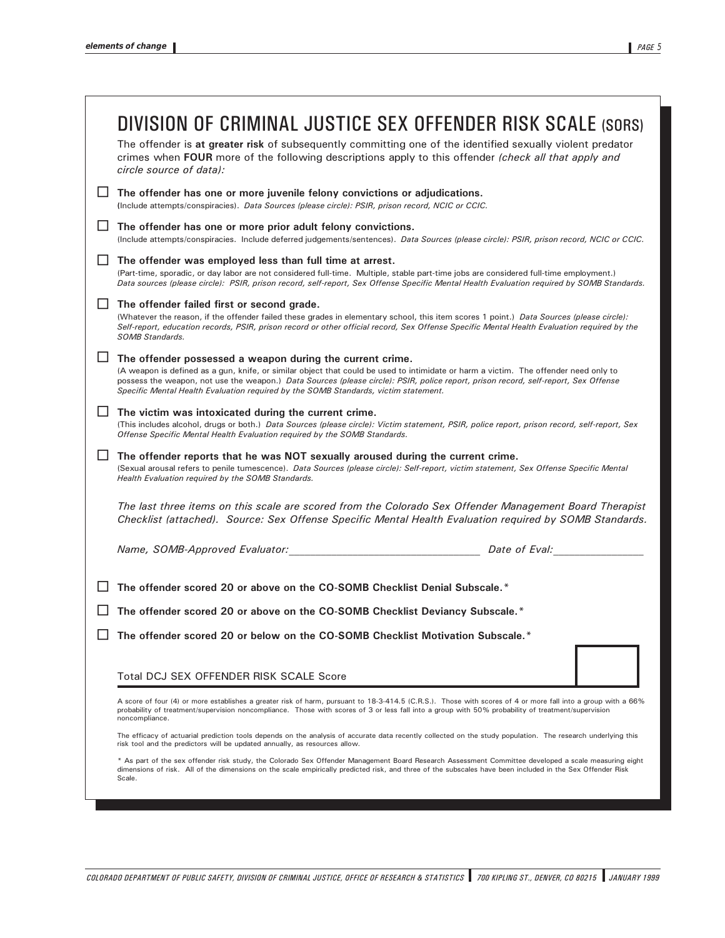| DIVISION OF CRIMINAL JUSTICE SEX OFFENDER RISK SCALE (SORS)<br>The offender is at greater risk of subsequently committing one of the identified sexually violent predator<br>crimes when FOUR more of the following descriptions apply to this offender (check all that apply and<br>circle source of datal:                                                                                                                    |  |
|---------------------------------------------------------------------------------------------------------------------------------------------------------------------------------------------------------------------------------------------------------------------------------------------------------------------------------------------------------------------------------------------------------------------------------|--|
| The offender has one or more juvenile felony convictions or adjudications.<br>(Include attempts/conspiracies). Data Sources (please circle): PSIR, prison record, NCIC or CCIC.                                                                                                                                                                                                                                                 |  |
| The offender has one or more prior adult felony convictions.<br>(Include attempts/conspiracies. Include deferred judgements/sentences). Data Sources (please circle): PSIR, prison record, NCIC or CCIC.                                                                                                                                                                                                                        |  |
| The offender was employed less than full time at arrest.<br>(Part-time, sporadic, or day labor are not considered full-time. Multiple, stable part-time jobs are considered full-time employment.)<br>Data sources (please circle): PSIR, prison record, self-report, Sex Offense Specific Mental Health Evaluation required by SOMB Standards.                                                                                 |  |
| The offender failed first or second grade.<br>(Whatever the reason, if the offender failed these grades in elementary school, this item scores 1 point.) Data Sources (please circle):<br>Self-report, education records, PSIR, prison record or other official record, Sex Offense Specific Mental Health Evaluation required by the<br>SOMB Standards.                                                                        |  |
| The offender possessed a weapon during the current crime.<br>(A weapon is defined as a gun, knife, or similar object that could be used to intimidate or harm a victim. The offender need only to<br>possess the weapon, not use the weapon.) Data Sources (please circle): PSIR, police report, prison record, self-report, Sex Offense<br>Specific Mental Health Evaluation required by the SOMB Standards, victim statement. |  |
| The victim was intoxicated during the current crime.<br>ΙI<br>(This includes alcohol, drugs or both.) Data Sources (please circle): Victim statement, PSIR, police report, prison record, self-report, Sex<br>Offense Specific Mental Health Evaluation required by the SOMB Standards.                                                                                                                                         |  |
| The offender reports that he was NOT sexually aroused during the current crime.<br>(Sexual arousal refers to penile tumescence). Data Sources (please circle): Self-report, victim statement, Sex Offense Specific Mental<br>Health Evaluation required by the SOMB Standards.                                                                                                                                                  |  |
| The last three items on this scale are scored from the Colorado Sex Offender Management Board Therapist<br>Checklist (attached). Source: Sex Offense Specific Mental Health Evaluation required by SOMB Standards.                                                                                                                                                                                                              |  |
|                                                                                                                                                                                                                                                                                                                                                                                                                                 |  |
| The offender scored 20 or above on the CO-SOMB Checklist Denial Subscale.*                                                                                                                                                                                                                                                                                                                                                      |  |
| The offender scored 20 or above on the CO-SOMB Checklist Deviancy Subscale.*                                                                                                                                                                                                                                                                                                                                                    |  |
| The offender scored 20 or below on the CO-SOMB Checklist Motivation Subscale.*                                                                                                                                                                                                                                                                                                                                                  |  |
| Total DCJ SEX OFFENDER RISK SCALE Score                                                                                                                                                                                                                                                                                                                                                                                         |  |
| A score of four (4) or more establishes a greater risk of harm, pursuant to 18-3-414.5 (C.R.S.). Those with scores of 4 or more fall into a group with a 66%<br>probability of treatment/supervision noncompliance. Those with scores of 3 or less fall into a group with 50% probability of treatment/supervision<br>noncompliance.                                                                                            |  |
| The efficacy of actuarial prediction tools depends on the analysis of accurate data recently collected on the study population. The research underlying this<br>risk tool and the predictors will be updated annually, as resources allow.                                                                                                                                                                                      |  |
| * As part of the sex offender risk study, the Colorado Sex Offender Management Board Research Assessment Committee developed a scale measuring eight<br>dimensions of risk. All of the dimensions on the scale empirically predicted risk, and three of the subscales have been included in the Sex Offender Risk<br>Scale.                                                                                                     |  |